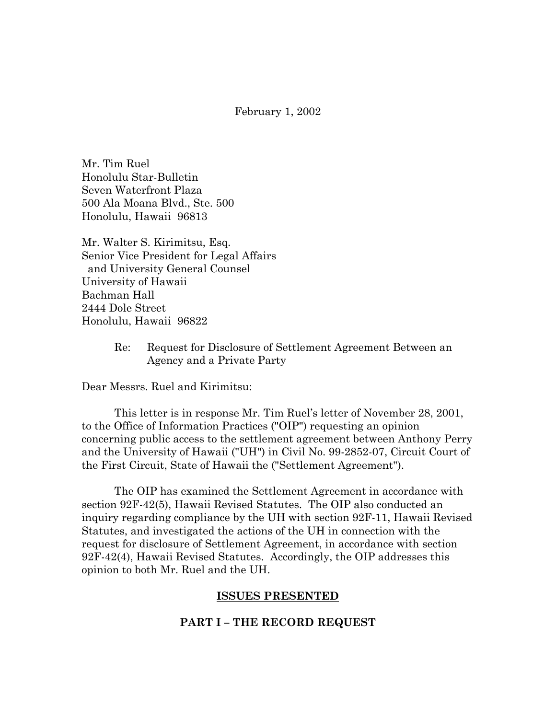February 1, 2002

Mr. Tim Ruel Honolulu Star-Bulletin Seven Waterfront Plaza 500 Ala Moana Blvd., Ste. 500 Honolulu, Hawaii 96813

Mr. Walter S. Kirimitsu, Esq. Senior Vice President for Legal Affairs and University General Counsel University of Hawaii Bachman Hall 2444 Dole Street Honolulu, Hawaii 96822

> Re: Request for Disclosure of Settlement Agreement Between an Agency and a Private Party

Dear Messrs. Ruel and Kirimitsu:

This letter is in response Mr. Tim Ruel's letter of November 28, 2001, to the Office of Information Practices ("OIP") requesting an opinion concerning public access to the settlement agreement between Anthony Perry and the University of Hawaii ("UH") in Civil No. 99-2852-07, Circuit Court of the First Circuit, State of Hawaii the ("Settlement Agreement").

The OIP has examined the Settlement Agreement in accordance with section 92F-42(5), Hawaii Revised Statutes. The OIP also conducted an inquiry regarding compliance by the UH with section 92F-11, Hawaii Revised Statutes, and investigated the actions of the UH in connection with the request for disclosure of Settlement Agreement, in accordance with section 92F-42(4), Hawaii Revised Statutes. Accordingly, the OIP addresses this opinion to both Mr. Ruel and the UH.

#### **ISSUES PRESENTED**

#### **PART I – THE RECORD REQUEST**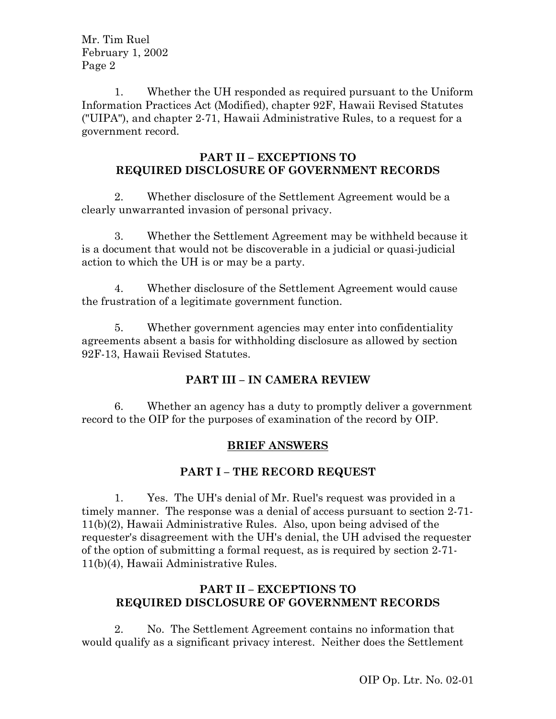1. Whether the UH responded as required pursuant to the Uniform Information Practices Act (Modified), chapter 92F, Hawaii Revised Statutes ("UIPA"), and chapter 2-71, Hawaii Administrative Rules, to a request for a government record.

### **PART II – EXCEPTIONS TO REQUIRED DISCLOSURE OF GOVERNMENT RECORDS**

2. Whether disclosure of the Settlement Agreement would be a clearly unwarranted invasion of personal privacy.

3. Whether the Settlement Agreement may be withheld because it is a document that would not be discoverable in a judicial or quasi-judicial action to which the UH is or may be a party.

4. Whether disclosure of the Settlement Agreement would cause the frustration of a legitimate government function.

5. Whether government agencies may enter into confidentiality agreements absent a basis for withholding disclosure as allowed by section 92F-13, Hawaii Revised Statutes.

# **PART III – IN CAMERA REVIEW**

6. Whether an agency has a duty to promptly deliver a government record to the OIP for the purposes of examination of the record by OIP.

# **BRIEF ANSWERS**

# **PART I – THE RECORD REQUEST**

1. Yes. The UH's denial of Mr. Ruel's request was provided in a timely manner. The response was a denial of access pursuant to section 2-71- 11(b)(2), Hawaii Administrative Rules. Also, upon being advised of the requester's disagreement with the UH's denial, the UH advised the requester of the option of submitting a formal request, as is required by section 2-71- 11(b)(4), Hawaii Administrative Rules.

### **PART II – EXCEPTIONS TO REQUIRED DISCLOSURE OF GOVERNMENT RECORDS**

2. No. The Settlement Agreement contains no information that would qualify as a significant privacy interest. Neither does the Settlement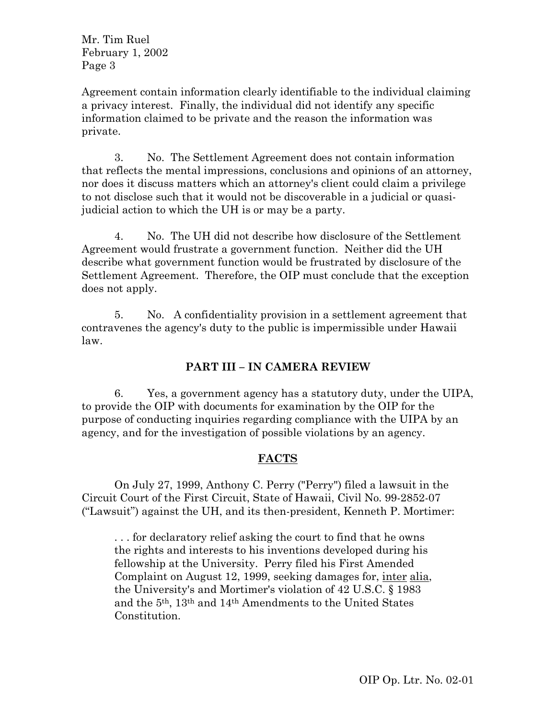Agreement contain information clearly identifiable to the individual claiming a privacy interest. Finally, the individual did not identify any specific information claimed to be private and the reason the information was private.

3. No. The Settlement Agreement does not contain information that reflects the mental impressions, conclusions and opinions of an attorney, nor does it discuss matters which an attorney's client could claim a privilege to not disclose such that it would not be discoverable in a judicial or quasijudicial action to which the UH is or may be a party.

4. No. The UH did not describe how disclosure of the Settlement Agreement would frustrate a government function. Neither did the UH describe what government function would be frustrated by disclosure of the Settlement Agreement. Therefore, the OIP must conclude that the exception does not apply.

5. No. A confidentiality provision in a settlement agreement that contravenes the agency's duty to the public is impermissible under Hawaii law.

## **PART III – IN CAMERA REVIEW**

6. Yes, a government agency has a statutory duty, under the UIPA, to provide the OIP with documents for examination by the OIP for the purpose of conducting inquiries regarding compliance with the UIPA by an agency, and for the investigation of possible violations by an agency.

## **FACTS**

On July 27, 1999, Anthony C. Perry ("Perry") filed a lawsuit in the Circuit Court of the First Circuit, State of Hawaii, Civil No. 99-2852-07 ("Lawsuit") against the UH, and its then-president, Kenneth P. Mortimer:

. . . for declaratory relief asking the court to find that he owns the rights and interests to his inventions developed during his fellowship at the University. Perry filed his First Amended Complaint on August 12, 1999, seeking damages for, inter alia, the University's and Mortimer's violation of 42 U.S.C. § 1983 and the 5th, 13th and 14th Amendments to the United States Constitution.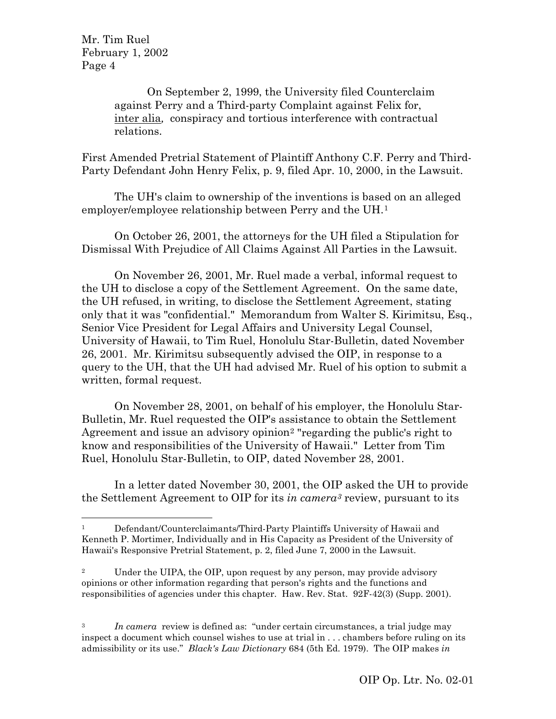> On September 2, 1999, the University filed Counterclaim against Perry and a Third-party Complaint against Felix for, inter alia*,* conspiracy and tortious interference with contractual relations.

First Amended Pretrial Statement of Plaintiff Anthony C.F. Perry and Third-Party Defendant John Henry Felix, p. 9, filed Apr. 10, 2000, in the Lawsuit.

The UH's claim to ownership of the inventions is based on an alleged employer/employee relationship between Perry and the UH.[1](#page-3-0)

On October 26, 2001, the attorneys for the UH filed a Stipulation for Dismissal With Prejudice of All Claims Against All Parties in the Lawsuit.

On November 26, 2001, Mr. Ruel made a verbal, informal request to the UH to disclose a copy of the Settlement Agreement. On the same date, the UH refused, in writing, to disclose the Settlement Agreement, stating only that it was "confidential." Memorandum from Walter S. Kirimitsu, Esq., Senior Vice President for Legal Affairs and University Legal Counsel, University of Hawaii, to Tim Ruel, Honolulu Star-Bulletin, dated November 26, 2001. Mr. Kirimitsu subsequently advised the OIP, in response to a query to the UH, that the UH had advised Mr. Ruel of his option to submit a written, formal request.

On November 28, 2001, on behalf of his employer, the Honolulu Star-Bulletin, Mr. Ruel requested the OIP's assistance to obtain the Settlement Agreement and issue an advisory opinion<sup>[2](#page-3-1)</sup> "regarding the public's right to know and responsibilities of the University of Hawaii." Letter from Tim Ruel, Honolulu Star-Bulletin, to OIP, dated November 28, 2001.

In a letter dated November 30, 2001, the OIP asked the UH to provide the Settlement Agreement to OIP for its *in camera[3](#page-3-2)* review, pursuant to its

<span id="page-3-0"></span> <sup>1</sup> Defendant/Counterclaimants/Third-Party Plaintiffs University of Hawaii and Kenneth P. Mortimer, Individually and in His Capacity as President of the University of Hawaii's Responsive Pretrial Statement, p. 2, filed June 7, 2000 in the Lawsuit.

<span id="page-3-1"></span><sup>&</sup>lt;sup>2</sup> Under the UIPA, the OIP, upon request by any person, may provide advisory opinions or other information regarding that person's rights and the functions and responsibilities of agencies under this chapter. Haw. Rev. Stat. 92F-42(3) (Supp. 2001).

<span id="page-3-2"></span><sup>3</sup> *In camera* review is defined as: "under certain circumstances, a trial judge may inspect a document which counsel wishes to use at trial in . . . chambers before ruling on its admissibility or its use." *Black's Law Dictionary* 684 (5th Ed. 1979). The OIP makes *in*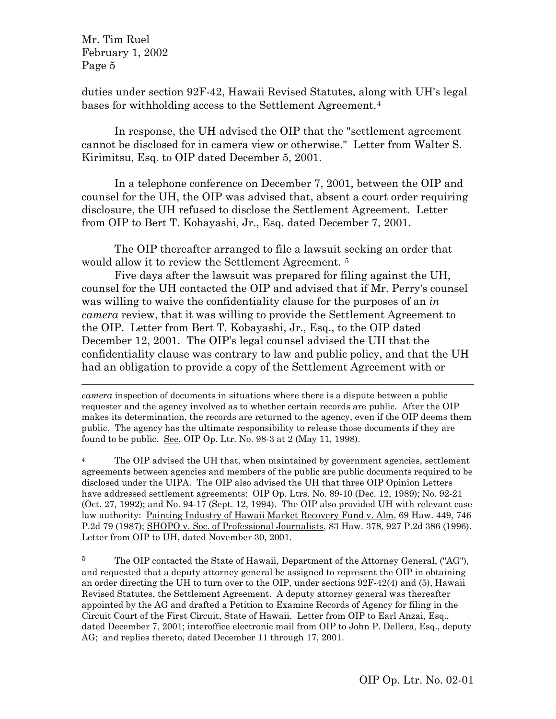$\overline{a}$ 

duties under section 92F-42, Hawaii Revised Statutes, along with UH's legal bases for withholding access to the Settlement Agreement.[4](#page-4-0)

In response, the UH advised the OIP that the "settlement agreement cannot be disclosed for in camera view or otherwise." Letter from Walter S. Kirimitsu, Esq. to OIP dated December 5, 2001.

In a telephone conference on December 7, 2001, between the OIP and counsel for the UH, the OIP was advised that, absent a court order requiring disclosure, the UH refused to disclose the Settlement Agreement. Letter from OIP to Bert T. Kobayashi, Jr., Esq. dated December 7, 2001.

The OIP thereafter arranged to file a lawsuit seeking an order that would allow it to review the Settlement Agreement. [5](#page-4-1)

Five days after the lawsuit was prepared for filing against the UH, counsel for the UH contacted the OIP and advised that if Mr. Perry's counsel was willing to waive the confidentiality clause for the purposes of an *in camera* review, that it was willing to provide the Settlement Agreement to the OIP. Letter from Bert T. Kobayashi, Jr., Esq., to the OIP dated December 12, 2001. The OIP's legal counsel advised the UH that the confidentiality clause was contrary to law and public policy, and that the UH had an obligation to provide a copy of the Settlement Agreement with or

<span id="page-4-0"></span> $4 \text{ The OIP advised the UH that, when maintained by government agencies, settlement}$ agreements between agencies and members of the public are public documents required to be disclosed under the UIPA. The OIP also advised the UH that three OIP Opinion Letters have addressed settlement agreements: OIP Op. Ltrs. No. 89-10 (Dec. 12, 1989); No. 92-21 (Oct. 27, 1992); and No. 94-17 (Sept. 12, 1994). The OIP also provided UH with relevant case law authority: Painting Industry of Hawaii Market Recovery Fund v. Alm, 69 Haw. 449, 746 P.2d 79 (1987); SHOPO v. Soc. of Professional Journalists, 83 Haw. 378, 927 P.2d 386 (1996). Letter from OIP to UH, dated November 30, 2001.

<span id="page-4-1"></span><sup>5</sup> The OIP contacted the State of Hawaii, Department of the Attorney General, ("AG"), and requested that a deputy attorney general be assigned to represent the OIP in obtaining an order directing the UH to turn over to the OIP, under sections 92F-42(4) and (5), Hawaii Revised Statutes, the Settlement Agreement. A deputy attorney general was thereafter appointed by the AG and drafted a Petition to Examine Records of Agency for filing in the Circuit Court of the First Circuit, State of Hawaii. Letter from OIP to Earl Anzai, Esq., dated December 7, 2001; interoffice electronic mail from OIP to John P. Dellera, Esq., deputy AG; and replies thereto, dated December 11 through 17, 2001.

*camera* inspection of documents in situations where there is a dispute between a public requester and the agency involved as to whether certain records are public. After the OIP makes its determination, the records are returned to the agency, even if the OIP deems them public. The agency has the ultimate responsibility to release those documents if they are found to be public. See, OIP Op. Ltr. No.  $98-3$  at  $2$  (May 11, 1998).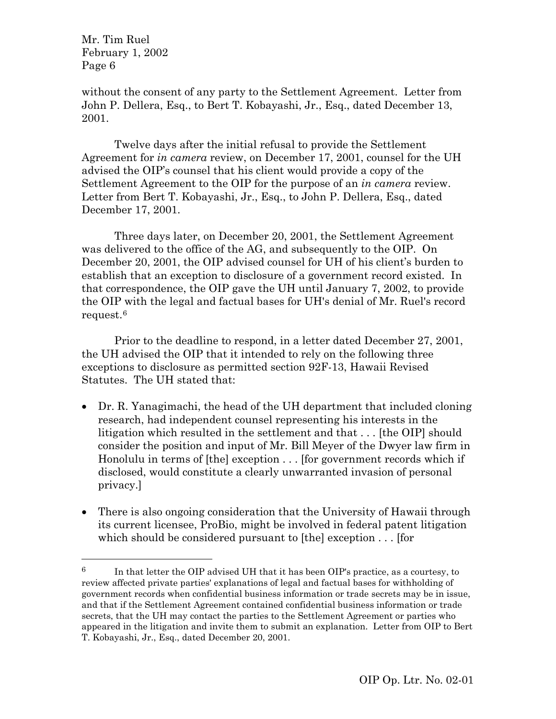without the consent of any party to the Settlement Agreement. Letter from John P. Dellera, Esq., to Bert T. Kobayashi, Jr., Esq., dated December 13, 2001.

Twelve days after the initial refusal to provide the Settlement Agreement for *in camera* review, on December 17, 2001, counsel for the UH advised the OIP's counsel that his client would provide a copy of the Settlement Agreement to the OIP for the purpose of an *in camera* review. Letter from Bert T. Kobayashi, Jr., Esq., to John P. Dellera, Esq., dated December 17, 2001.

Three days later, on December 20, 2001, the Settlement Agreement was delivered to the office of the AG, and subsequently to the OIP. On December 20, 2001, the OIP advised counsel for UH of his client's burden to establish that an exception to disclosure of a government record existed. In that correspondence, the OIP gave the UH until January 7, 2002, to provide the OIP with the legal and factual bases for UH's denial of Mr. Ruel's record request.[6](#page-5-0)

Prior to the deadline to respond, in a letter dated December 27, 2001, the UH advised the OIP that it intended to rely on the following three exceptions to disclosure as permitted section 92F-13, Hawaii Revised Statutes. The UH stated that:

- Dr. R. Yanagimachi, the head of the UH department that included cloning research, had independent counsel representing his interests in the litigation which resulted in the settlement and that . . . [the OIP] should consider the position and input of Mr. Bill Meyer of the Dwyer law firm in Honolulu in terms of [the] exception . . . [for government records which if disclosed, would constitute a clearly unwarranted invasion of personal privacy.]
- There is also ongoing consideration that the University of Hawaii through its current licensee, ProBio, might be involved in federal patent litigation which should be considered pursuant to [the] exception . . . [for

<span id="page-5-0"></span> $6 \text{ In that letter the OIP advised UH that it has been OIP's practice, as a courtesy, to }$ review affected private parties' explanations of legal and factual bases for withholding of government records when confidential business information or trade secrets may be in issue, and that if the Settlement Agreement contained confidential business information or trade secrets, that the UH may contact the parties to the Settlement Agreement or parties who appeared in the litigation and invite them to submit an explanation. Letter from OIP to Bert T. Kobayashi, Jr., Esq., dated December 20, 2001.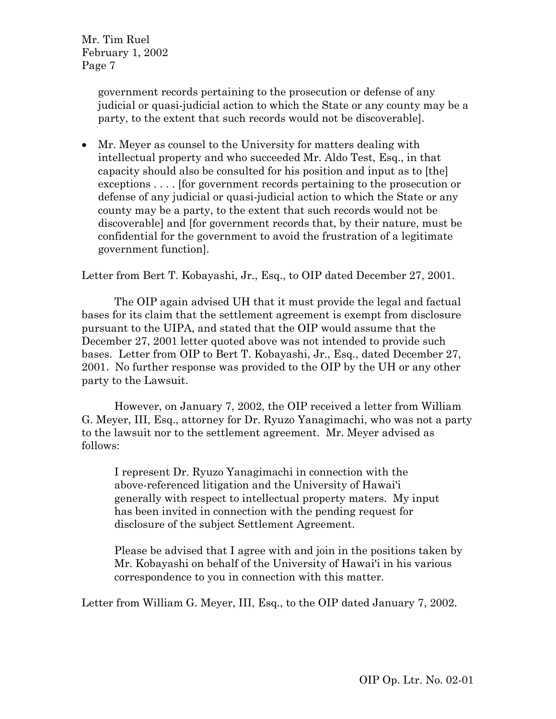> government records pertaining to the prosecution or defense of any judicial or quasi-judicial action to which the State or any county may be a party, to the extent that such records would not be discoverable].

• Mr. Meyer as counsel to the University for matters dealing with intellectual property and who succeeded Mr. Aldo Test, Esq., in that capacity should also be consulted for his position and input as to [the] exceptions . . . . [for government records pertaining to the prosecution or defense of any judicial or quasi-judicial action to which the State or any county may be a party, to the extent that such records would not be discoverable] and [for government records that, by their nature, must be confidential for the government to avoid the frustration of a legitimate government function].

Letter from Bert T. Kobayashi, Jr., Esq., to OIP dated December 27, 2001.

The OIP again advised UH that it must provide the legal and factual bases for its claim that the settlement agreement is exempt from disclosure pursuant to the UIPA, and stated that the OIP would assume that the December 27, 2001 letter quoted above was not intended to provide such bases. Letter from OIP to Bert T. Kobayashi, Jr., Esq., dated December 27, 2001. No further response was provided to the OIP by the UH or any other party to the Lawsuit.

However, on January 7, 2002, the OIP received a letter from William G. Meyer, III, Esq., attorney for Dr. Ryuzo Yanagimachi, who was not a party to the lawsuit nor to the settlement agreement. Mr. Meyer advised as follows:

I represent Dr. Ryuzo Yanagimachi in connection with the above-referenced litigation and the University of Hawai'i generally with respect to intellectual property maters. My input has been invited in connection with the pending request for disclosure of the subject Settlement Agreement.

Please be advised that I agree with and join in the positions taken by Mr. Kobayashi on behalf of the University of Hawai'i in his various correspondence to you in connection with this matter.

Letter from William G. Meyer, III, Esq., to the OIP dated January 7, 2002.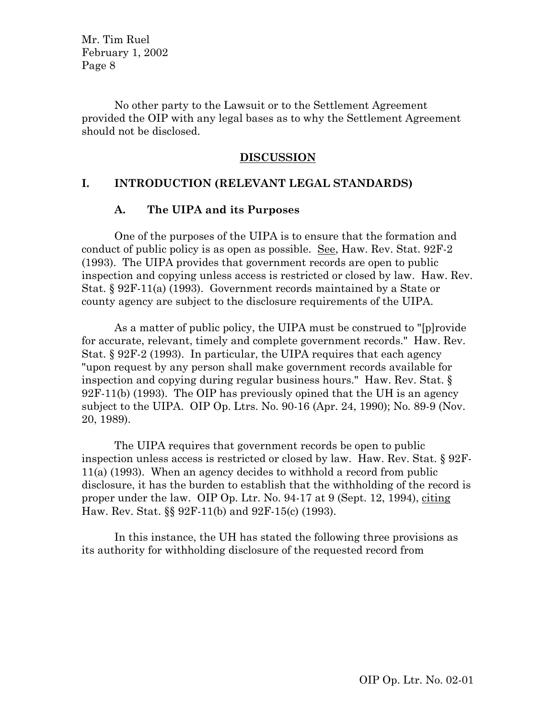No other party to the Lawsuit or to the Settlement Agreement provided the OIP with any legal bases as to why the Settlement Agreement should not be disclosed.

#### **DISCUSSION**

### **I. INTRODUCTION (RELEVANT LEGAL STANDARDS)**

#### **A. The UIPA and its Purposes**

One of the purposes of the UIPA is to ensure that the formation and conduct of public policy is as open as possible. See, Haw. Rev. Stat. 92F-2 (1993). The UIPA provides that government records are open to public inspection and copying unless access is restricted or closed by law. Haw. Rev. Stat. § 92F-11(a) (1993). Government records maintained by a State or county agency are subject to the disclosure requirements of the UIPA.

As a matter of public policy, the UIPA must be construed to "[p]rovide for accurate, relevant, timely and complete government records." Haw. Rev. Stat. § 92F-2 (1993). In particular, the UIPA requires that each agency "upon request by any person shall make government records available for inspection and copying during regular business hours." Haw. Rev. Stat. § 92F-11(b) (1993). The OIP has previously opined that the UH is an agency subject to the UIPA. OIP Op. Ltrs. No. 90-16 (Apr. 24, 1990); No. 89-9 (Nov. 20, 1989).

The UIPA requires that government records be open to public inspection unless access is restricted or closed by law. Haw. Rev. Stat. § 92F-11(a) (1993). When an agency decides to withhold a record from public disclosure, it has the burden to establish that the withholding of the record is proper under the law. OIP Op. Ltr. No. 94-17 at 9 (Sept. 12, 1994), citing Haw. Rev. Stat. §§ 92F-11(b) and 92F-15(c) (1993).

In this instance, the UH has stated the following three provisions as its authority for withholding disclosure of the requested record from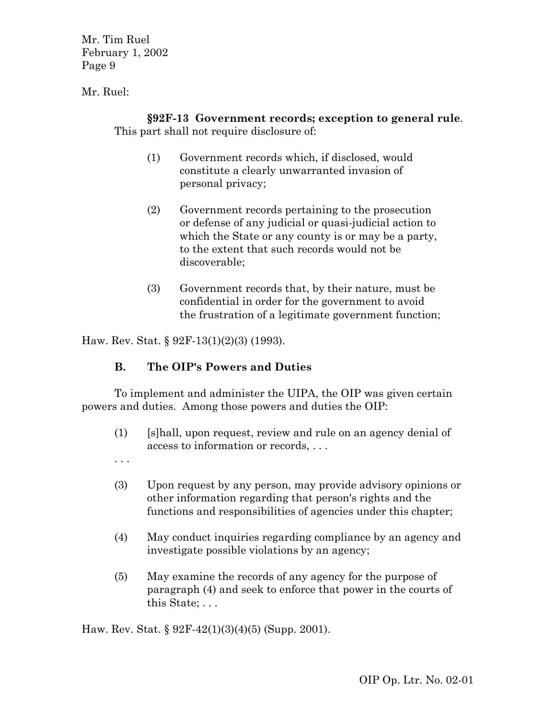Mr. Ruel:

### **§92F-13 Government records; exception to general rule**. This part shall not require disclosure of:

- (1) Government records which, if disclosed, would constitute a clearly unwarranted invasion of personal privacy;
- (2) Government records pertaining to the prosecution or defense of any judicial or quasi-judicial action to which the State or any county is or may be a party, to the extent that such records would not be discoverable;
- (3) Government records that, by their nature, must be confidential in order for the government to avoid the frustration of a legitimate government function;

Haw. Rev. Stat. § 92F-13(1)(2)(3) (1993).

# **B. The OIP's Powers and Duties**

To implement and administer the UIPA, the OIP was given certain powers and duties. Among those powers and duties the OIP:

- (1) [s]hall, upon request, review and rule on an agency denial of access to information or records, . . .
- . . .
- (3) Upon request by any person, may provide advisory opinions or other information regarding that person's rights and the functions and responsibilities of agencies under this chapter;
- (4) May conduct inquiries regarding compliance by an agency and investigate possible violations by an agency;
- (5) May examine the records of any agency for the purpose of paragraph (4) and seek to enforce that power in the courts of this State; . . .

Haw. Rev. Stat. § 92F-42(1)(3)(4)(5) (Supp. 2001).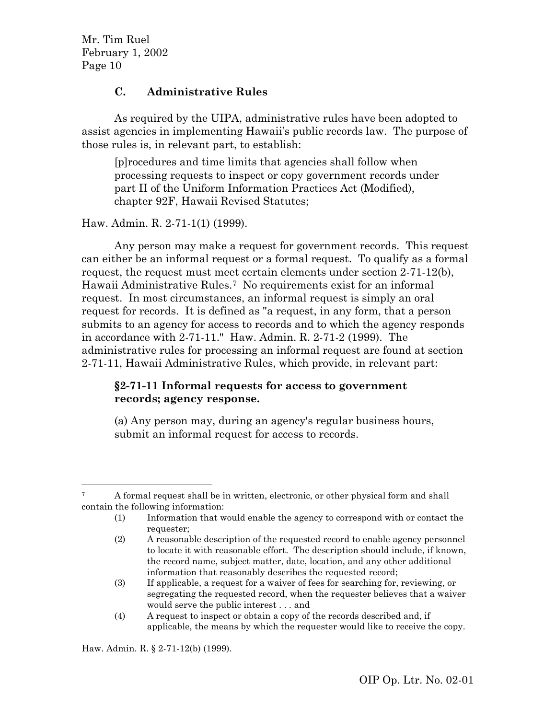### **C. Administrative Rules**

As required by the UIPA, administrative rules have been adopted to assist agencies in implementing Hawaii's public records law. The purpose of those rules is, in relevant part, to establish:

[p]rocedures and time limits that agencies shall follow when processing requests to inspect or copy government records under part II of the Uniform Information Practices Act (Modified), chapter 92F, Hawaii Revised Statutes;

Haw. Admin. R. 2-71-1(1) (1999).

Any person may make a request for government records. This request can either be an informal request or a formal request. To qualify as a formal request, the request must meet certain elements under section 2-71-12(b), Hawaii Administrative Rules.[7](#page-9-0) No requirements exist for an informal request. In most circumstances, an informal request is simply an oral request for records. It is defined as "a request, in any form, that a person submits to an agency for access to records and to which the agency responds in accordance with 2-71-11." Haw. Admin. R. 2-71-2 (1999). The administrative rules for processing an informal request are found at section 2-71-11, Hawaii Administrative Rules, which provide, in relevant part:

## **§2-71-11 Informal requests for access to government records; agency response.**

(a) Any person may, during an agency's regular business hours, submit an informal request for access to records.

Haw. Admin. R. § 2-71-12(b) (1999).

<span id="page-9-0"></span> <sup>7</sup> A formal request shall be in written, electronic, or other physical form and shall contain the following information:

<sup>(1)</sup> Information that would enable the agency to correspond with or contact the requester;

<sup>(2)</sup> A reasonable description of the requested record to enable agency personnel to locate it with reasonable effort. The description should include, if known, the record name, subject matter, date, location, and any other additional information that reasonably describes the requested record;

<sup>(3)</sup> If applicable, a request for a waiver of fees for searching for, reviewing, or segregating the requested record, when the requester believes that a waiver would serve the public interest . . . and

<sup>(4)</sup> A request to inspect or obtain a copy of the records described and, if applicable, the means by which the requester would like to receive the copy.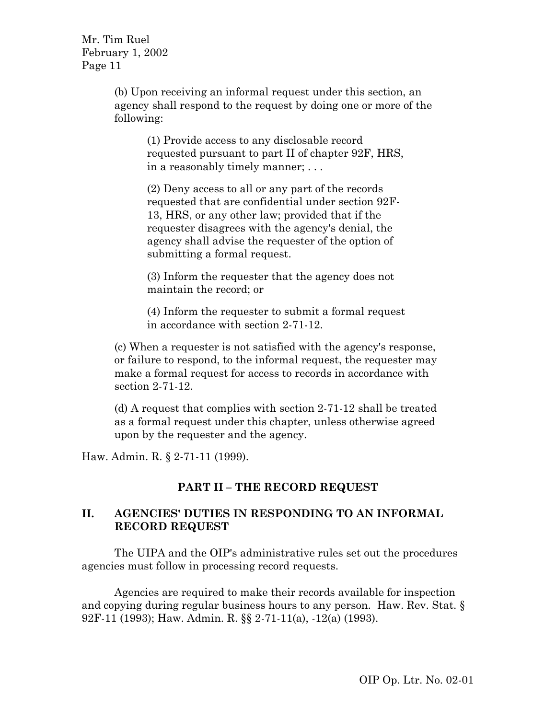> (b) Upon receiving an informal request under this section, an agency shall respond to the request by doing one or more of the following:

(1) Provide access to any disclosable record requested pursuant to part II of chapter 92F, HRS, in a reasonably timely manner; . . .

(2) Deny access to all or any part of the records requested that are confidential under section 92F-13, HRS, or any other law; provided that if the requester disagrees with the agency's denial, the agency shall advise the requester of the option of submitting a formal request.

(3) Inform the requester that the agency does not maintain the record; or

(4) Inform the requester to submit a formal request in accordance with section 2-71-12.

(c) When a requester is not satisfied with the agency's response, or failure to respond, to the informal request, the requester may make a formal request for access to records in accordance with section 2-71-12.

(d) A request that complies with section 2-71-12 shall be treated as a formal request under this chapter, unless otherwise agreed upon by the requester and the agency.

Haw. Admin. R. § 2-71-11 (1999).

# **PART II – THE RECORD REQUEST**

## **II. AGENCIES' DUTIES IN RESPONDING TO AN INFORMAL RECORD REQUEST**

The UIPA and the OIP's administrative rules set out the procedures agencies must follow in processing record requests.

Agencies are required to make their records available for inspection and copying during regular business hours to any person. Haw. Rev. Stat. § 92F-11 (1993); Haw. Admin. R. §§ 2-71-11(a), -12(a) (1993).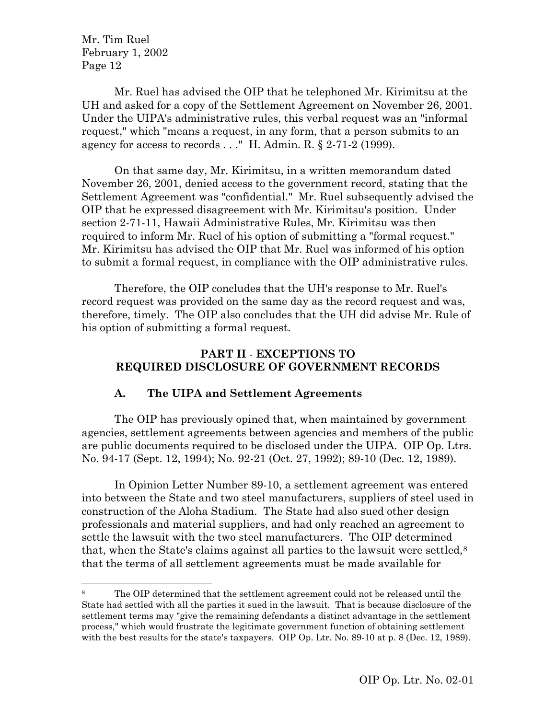Mr. Ruel has advised the OIP that he telephoned Mr. Kirimitsu at the UH and asked for a copy of the Settlement Agreement on November 26, 2001. Under the UIPA's administrative rules, this verbal request was an "informal request," which "means a request, in any form, that a person submits to an agency for access to records . . ." H. Admin. R. § 2-71-2 (1999).

On that same day, Mr. Kirimitsu, in a written memorandum dated November 26, 2001, denied access to the government record, stating that the Settlement Agreement was "confidential." Mr. Ruel subsequently advised the OIP that he expressed disagreement with Mr. Kirimitsu's position. Under section 2-71-11, Hawaii Administrative Rules, Mr. Kirimitsu was then required to inform Mr. Ruel of his option of submitting a "formal request." Mr. Kirimitsu has advised the OIP that Mr. Ruel was informed of his option to submit a formal request, in compliance with the OIP administrative rules.

Therefore, the OIP concludes that the UH's response to Mr. Ruel's record request was provided on the same day as the record request and was, therefore, timely. The OIP also concludes that the UH did advise Mr. Rule of his option of submitting a formal request.

#### **PART II** - **EXCEPTIONS TO REQUIRED DISCLOSURE OF GOVERNMENT RECORDS**

## **A. The UIPA and Settlement Agreements**

The OIP has previously opined that, when maintained by government agencies, settlement agreements between agencies and members of the public are public documents required to be disclosed under the UIPA. OIP Op. Ltrs. No. 94-17 (Sept. 12, 1994); No. 92-21 (Oct. 27, 1992); 89-10 (Dec. 12, 1989).

In Opinion Letter Number 89-10, a settlement agreement was entered into between the State and two steel manufacturers, suppliers of steel used in construction of the Aloha Stadium. The State had also sued other design professionals and material suppliers, and had only reached an agreement to settle the lawsuit with the two steel manufacturers. The OIP determined that, when the State's claims against all parties to the lawsuit were settled,<sup>[8](#page-11-0)</sup> that the terms of all settlement agreements must be made available for

<span id="page-11-0"></span><sup>&</sup>lt;sup>8</sup> The OIP determined that the settlement agreement could not be released until the State had settled with all the parties it sued in the lawsuit. That is because disclosure of the settlement terms may "give the remaining defendants a distinct advantage in the settlement process," which would frustrate the legitimate government function of obtaining settlement with the best results for the state's taxpayers. OIP Op. Ltr. No. 89-10 at p. 8 (Dec. 12, 1989).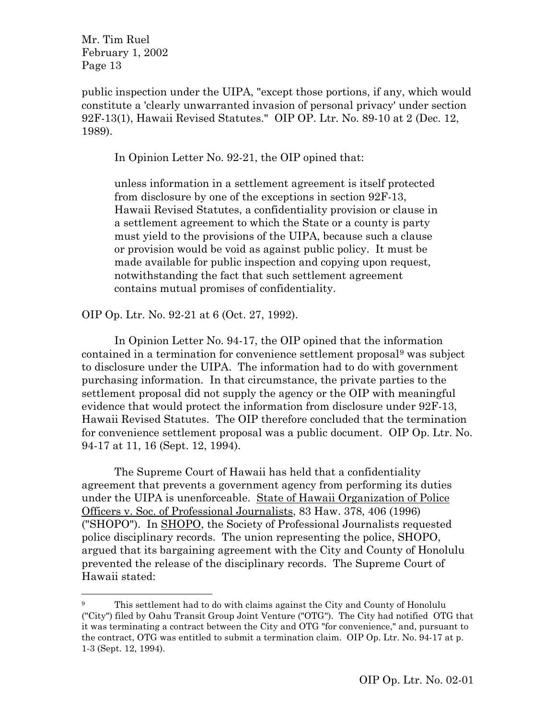public inspection under the UIPA, "except those portions, if any, which would constitute a 'clearly unwarranted invasion of personal privacy' under section 92F-13(1), Hawaii Revised Statutes." OIP OP. Ltr. No. 89-10 at 2 (Dec. 12, 1989).

In Opinion Letter No. 92-21, the OIP opined that:

unless information in a settlement agreement is itself protected from disclosure by one of the exceptions in section 92F-13, Hawaii Revised Statutes, a confidentiality provision or clause in a settlement agreement to which the State or a county is party must yield to the provisions of the UIPA, because such a clause or provision would be void as against public policy. It must be made available for public inspection and copying upon request, notwithstanding the fact that such settlement agreement contains mutual promises of confidentiality.

OIP Op. Ltr. No. 92-21 at 6 (Oct. 27, 1992).

In Opinion Letter No. 94-17, the OIP opined that the information contained in a termination for convenience settlement proposal<sup>[9](#page-12-0)</sup> was subject to disclosure under the UIPA. The information had to do with government purchasing information. In that circumstance, the private parties to the settlement proposal did not supply the agency or the OIP with meaningful evidence that would protect the information from disclosure under 92F-13, Hawaii Revised Statutes. The OIP therefore concluded that the termination for convenience settlement proposal was a public document. OIP Op. Ltr. No. 94-17 at 11, 16 (Sept. 12, 1994).

The Supreme Court of Hawaii has held that a confidentiality agreement that prevents a government agency from performing its duties under the UIPA is unenforceable. State of Hawaii Organization of Police Officers v. Soc. of Professional Journalists, 83 Haw. 378, 406 (1996) ("SHOPO"). In SHOPO, the Society of Professional Journalists requested police disciplinary records. The union representing the police, SHOPO, argued that its bargaining agreement with the City and County of Honolulu prevented the release of the disciplinary records. The Supreme Court of Hawaii stated:

<span id="page-12-0"></span><sup>&</sup>lt;sup>9</sup> This settlement had to do with claims against the City and County of Honolulu ("City") filed by Oahu Transit Group Joint Venture ("OTG"). The City had notified OTG that it was terminating a contract between the City and OTG "for convenience," and, pursuant to the contract, OTG was entitled to submit a termination claim. OIP Op. Ltr. No. 94-17 at p. 1-3 (Sept. 12, 1994).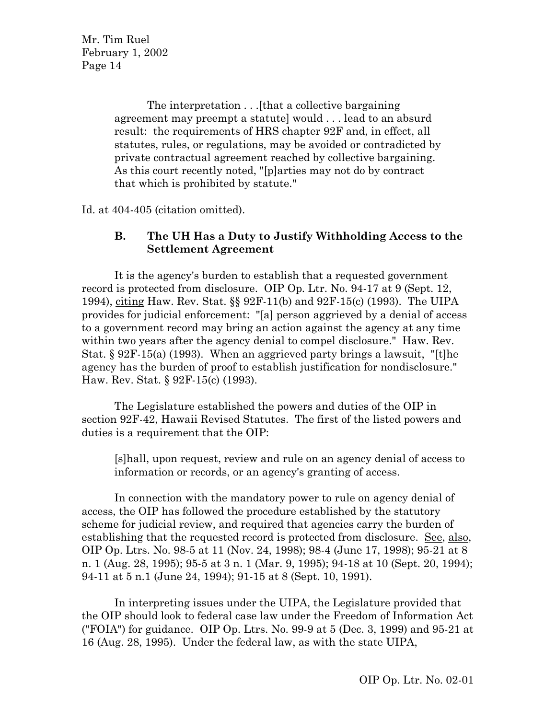> The interpretation . . .[that a collective bargaining agreement may preempt a statute] would . . . lead to an absurd result: the requirements of HRS chapter 92F and, in effect, all statutes, rules, or regulations, may be avoided or contradicted by private contractual agreement reached by collective bargaining. As this court recently noted, "[p]arties may not do by contract that which is prohibited by statute."

Id. at 404-405 (citation omitted).

### **B. The UH Has a Duty to Justify Withholding Access to the Settlement Agreement**

It is the agency's burden to establish that a requested government record is protected from disclosure. OIP Op. Ltr. No. 94-17 at 9 (Sept. 12, 1994), citing Haw. Rev. Stat. §§ 92F-11(b) and 92F-15(c) (1993). The UIPA provides for judicial enforcement: "[a] person aggrieved by a denial of access to a government record may bring an action against the agency at any time within two years after the agency denial to compel disclosure." Haw. Rev. Stat. § 92F-15(a) (1993). When an aggrieved party brings a lawsuit, "[t]he agency has the burden of proof to establish justification for nondisclosure." Haw. Rev. Stat. § 92F-15(c) (1993).

The Legislature established the powers and duties of the OIP in section 92F-42, Hawaii Revised Statutes. The first of the listed powers and duties is a requirement that the OIP:

[s]hall, upon request, review and rule on an agency denial of access to information or records, or an agency's granting of access.

In connection with the mandatory power to rule on agency denial of access, the OIP has followed the procedure established by the statutory scheme for judicial review, and required that agencies carry the burden of establishing that the requested record is protected from disclosure. See, also, OIP Op. Ltrs. No. 98-5 at 11 (Nov. 24, 1998); 98-4 (June 17, 1998); 95-21 at 8 n. 1 (Aug. 28, 1995); 95-5 at 3 n. 1 (Mar. 9, 1995); 94-18 at 10 (Sept. 20, 1994); 94-11 at 5 n.1 (June 24, 1994); 91-15 at 8 (Sept. 10, 1991).

In interpreting issues under the UIPA, the Legislature provided that the OIP should look to federal case law under the Freedom of Information Act ("FOIA") for guidance. OIP Op. Ltrs. No. 99-9 at 5 (Dec. 3, 1999) and 95-21 at 16 (Aug. 28, 1995). Under the federal law, as with the state UIPA,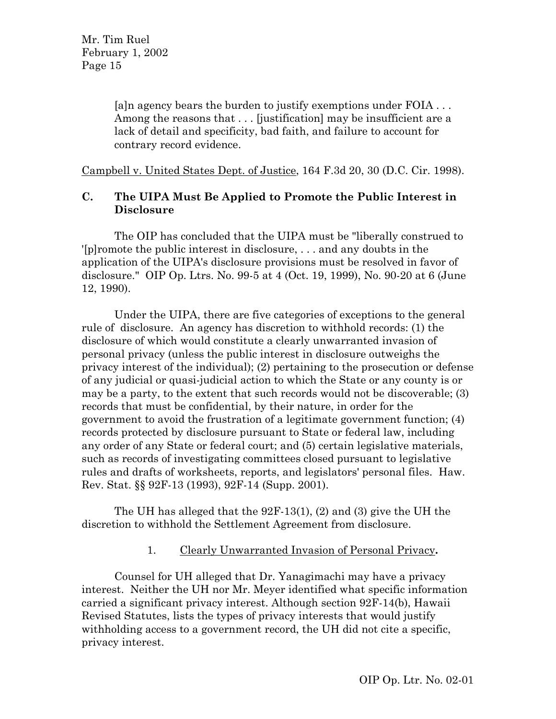[a]n agency bears the burden to justify exemptions under FOIA... Among the reasons that . . . [justification] may be insufficient are a lack of detail and specificity, bad faith, and failure to account for contrary record evidence.

Campbell v. United States Dept. of Justice, 164 F.3d 20, 30 (D.C. Cir. 1998).

### **C. The UIPA Must Be Applied to Promote the Public Interest in Disclosure**

The OIP has concluded that the UIPA must be "liberally construed to '[p]romote the public interest in disclosure, . . . and any doubts in the application of the UIPA's disclosure provisions must be resolved in favor of disclosure." OIP Op. Ltrs. No. 99-5 at 4 (Oct. 19, 1999), No. 90-20 at 6 (June 12, 1990).

Under the UIPA, there are five categories of exceptions to the general rule of disclosure. An agency has discretion to withhold records: (1) the disclosure of which would constitute a clearly unwarranted invasion of personal privacy (unless the public interest in disclosure outweighs the privacy interest of the individual); (2) pertaining to the prosecution or defense of any judicial or quasi-judicial action to which the State or any county is or may be a party, to the extent that such records would not be discoverable; (3) records that must be confidential, by their nature, in order for the government to avoid the frustration of a legitimate government function; (4) records protected by disclosure pursuant to State or federal law, including any order of any State or federal court; and (5) certain legislative materials, such as records of investigating committees closed pursuant to legislative rules and drafts of worksheets, reports, and legislators' personal files. Haw. Rev. Stat. §§ 92F-13 (1993), 92F-14 (Supp. 2001).

The UH has alleged that the 92F-13(1), (2) and (3) give the UH the discretion to withhold the Settlement Agreement from disclosure.

### 1. Clearly Unwarranted Invasion of Personal Privacy**.**

Counsel for UH alleged that Dr. Yanagimachi may have a privacy interest. Neither the UH nor Mr. Meyer identified what specific information carried a significant privacy interest. Although section 92F-14(b), Hawaii Revised Statutes, lists the types of privacy interests that would justify withholding access to a government record, the UH did not cite a specific, privacy interest.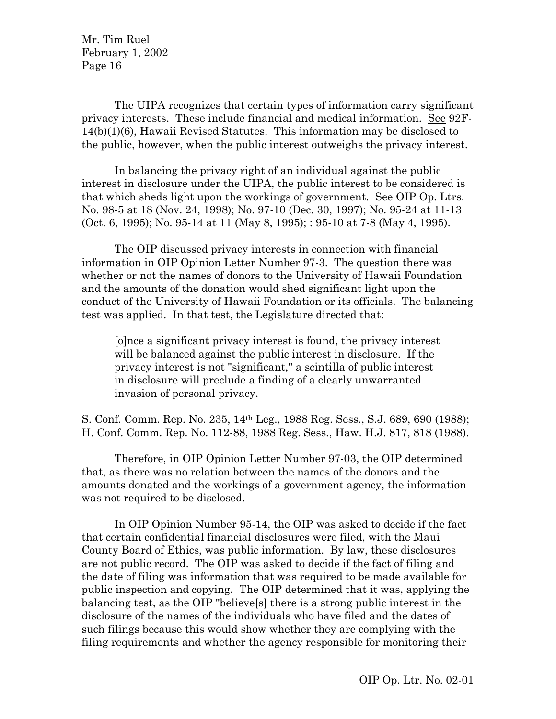The UIPA recognizes that certain types of information carry significant privacy interests. These include financial and medical information. See 92F-14(b)(1)(6), Hawaii Revised Statutes. This information may be disclosed to the public, however, when the public interest outweighs the privacy interest.

In balancing the privacy right of an individual against the public interest in disclosure under the UIPA, the public interest to be considered is that which sheds light upon the workings of government. See OIP Op. Ltrs. No. 98-5 at 18 (Nov. 24, 1998); No. 97-10 (Dec. 30, 1997); No. 95-24 at 11-13 (Oct. 6, 1995); No. 95-14 at 11 (May 8, 1995); : 95-10 at 7-8 (May 4, 1995).

The OIP discussed privacy interests in connection with financial information in OIP Opinion Letter Number 97-3. The question there was whether or not the names of donors to the University of Hawaii Foundation and the amounts of the donation would shed significant light upon the conduct of the University of Hawaii Foundation or its officials. The balancing test was applied. In that test, the Legislature directed that:

[o]nce a significant privacy interest is found, the privacy interest will be balanced against the public interest in disclosure. If the privacy interest is not "significant," a scintilla of public interest in disclosure will preclude a finding of a clearly unwarranted invasion of personal privacy.

S. Conf. Comm. Rep. No. 235, 14th Leg., 1988 Reg. Sess., S.J. 689, 690 (1988); H. Conf. Comm. Rep. No. 112-88, 1988 Reg. Sess., Haw. H.J. 817, 818 (1988).

Therefore, in OIP Opinion Letter Number 97-03, the OIP determined that, as there was no relation between the names of the donors and the amounts donated and the workings of a government agency, the information was not required to be disclosed.

In OIP Opinion Number 95-14, the OIP was asked to decide if the fact that certain confidential financial disclosures were filed, with the Maui County Board of Ethics, was public information. By law, these disclosures are not public record. The OIP was asked to decide if the fact of filing and the date of filing was information that was required to be made available for public inspection and copying. The OIP determined that it was, applying the balancing test, as the OIP "believe[s] there is a strong public interest in the disclosure of the names of the individuals who have filed and the dates of such filings because this would show whether they are complying with the filing requirements and whether the agency responsible for monitoring their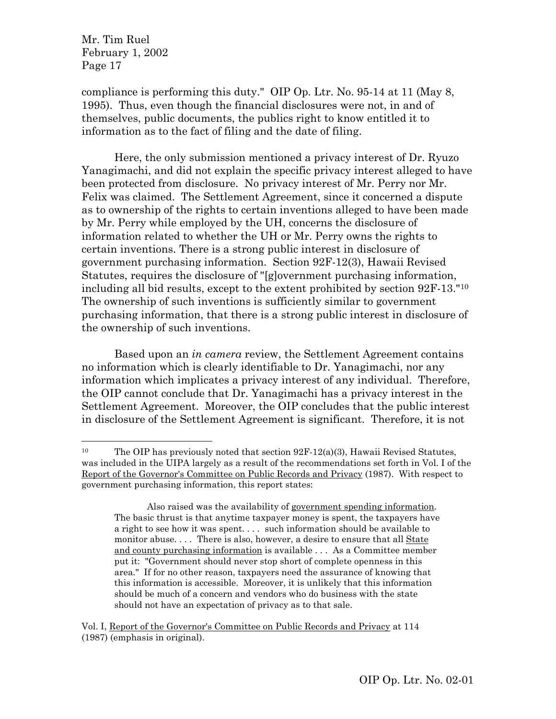compliance is performing this duty." OIP Op. Ltr. No. 95-14 at 11 (May 8, 1995). Thus, even though the financial disclosures were not, in and of themselves, public documents, the publics right to know entitled it to information as to the fact of filing and the date of filing.

Here, the only submission mentioned a privacy interest of Dr. Ryuzo Yanagimachi, and did not explain the specific privacy interest alleged to have been protected from disclosure. No privacy interest of Mr. Perry nor Mr. Felix was claimed. The Settlement Agreement, since it concerned a dispute as to ownership of the rights to certain inventions alleged to have been made by Mr. Perry while employed by the UH, concerns the disclosure of information related to whether the UH or Mr. Perry owns the rights to certain inventions. There is a strong public interest in disclosure of government purchasing information. Section 92F-12(3), Hawaii Revised Statutes, requires the disclosure of "[g]overnment purchasing information, including all bid results, except to the extent prohibited by section 92F-13."[10](#page-16-0) The ownership of such inventions is sufficiently similar to government purchasing information, that there is a strong public interest in disclosure of the ownership of such inventions.

Based upon an *in camera* review, the Settlement Agreement contains no information which is clearly identifiable to Dr. Yanagimachi, nor any information which implicates a privacy interest of any individual. Therefore, the OIP cannot conclude that Dr. Yanagimachi has a privacy interest in the Settlement Agreement. Moreover, the OIP concludes that the public interest in disclosure of the Settlement Agreement is significant. Therefore, it is not

<span id="page-16-0"></span> <sup>10</sup> The OIP has previously noted that section 92F-12(a)(3), Hawaii Revised Statutes, was included in the UIPA largely as a result of the recommendations set forth in Vol. I of the Report of the Governor's Committee on Public Records and Privacy (1987). With respect to government purchasing information, this report states:

Also raised was the availability of government spending information. The basic thrust is that anytime taxpayer money is spent, the taxpayers have a right to see how it was spent. . . . such information should be available to monitor abuse. . . . There is also, however, a desire to ensure that all **State** and county purchasing information is available . . . As a Committee member put it: "Government should never stop short of complete openness in this area." If for no other reason, taxpayers need the assurance of knowing that this information is accessible. Moreover, it is unlikely that this information should be much of a concern and vendors who do business with the state should not have an expectation of privacy as to that sale.

Vol. I, Report of the Governor's Committee on Public Records and Privacy at 114 (1987) (emphasis in original).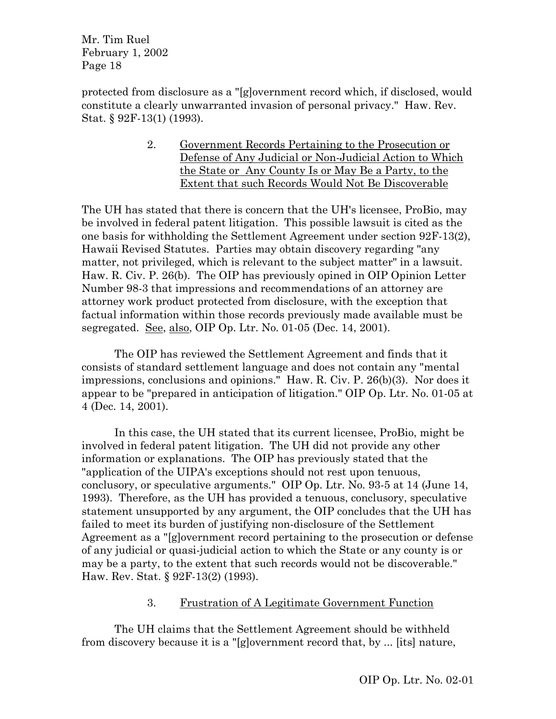protected from disclosure as a "[g]overnment record which, if disclosed, would constitute a clearly unwarranted invasion of personal privacy." Haw. Rev. Stat. § 92F-13(1) (1993).

> 2. Government Records Pertaining to the Prosecution or Defense of Any Judicial or Non-Judicial Action to Which the State or Any County Is or May Be a Party, to the Extent that such Records Would Not Be Discoverable

The UH has stated that there is concern that the UH's licensee, ProBio, may be involved in federal patent litigation. This possible lawsuit is cited as the one basis for withholding the Settlement Agreement under section 92F-13(2), Hawaii Revised Statutes. Parties may obtain discovery regarding "any matter, not privileged, which is relevant to the subject matter" in a lawsuit. Haw. R. Civ. P. 26(b). The OIP has previously opined in OIP Opinion Letter Number 98-3 that impressions and recommendations of an attorney are attorney work product protected from disclosure, with the exception that factual information within those records previously made available must be segregated. See, also, OIP Op. Ltr. No. 01-05 (Dec. 14, 2001).

The OIP has reviewed the Settlement Agreement and finds that it consists of standard settlement language and does not contain any "mental impressions, conclusions and opinions." Haw. R. Civ. P. 26(b)(3). Nor does it appear to be "prepared in anticipation of litigation." OIP Op. Ltr. No. 01-05 at 4 (Dec. 14, 2001).

In this case, the UH stated that its current licensee, ProBio, might be involved in federal patent litigation. The UH did not provide any other information or explanations. The OIP has previously stated that the "application of the UIPA's exceptions should not rest upon tenuous, conclusory, or speculative arguments." OIP Op. Ltr. No. 93-5 at 14 (June 14, 1993). Therefore, as the UH has provided a tenuous, conclusory, speculative statement unsupported by any argument, the OIP concludes that the UH has failed to meet its burden of justifying non-disclosure of the Settlement Agreement as a "[g]overnment record pertaining to the prosecution or defense of any judicial or quasi-judicial action to which the State or any county is or may be a party, to the extent that such records would not be discoverable." Haw. Rev. Stat. § 92F-13(2) (1993).

## 3. Frustration of A Legitimate Government Function

The UH claims that the Settlement Agreement should be withheld from discovery because it is a "[g]overnment record that, by ... [its] nature,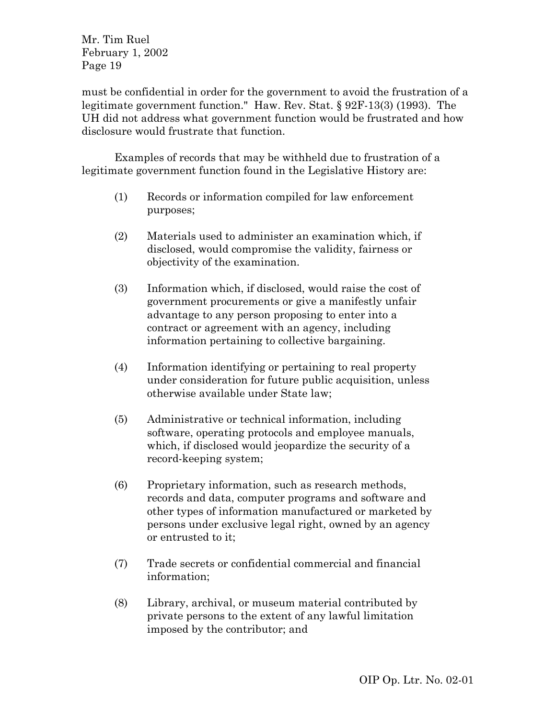must be confidential in order for the government to avoid the frustration of a legitimate government function." Haw. Rev. Stat. § 92F-13(3) (1993). The UH did not address what government function would be frustrated and how disclosure would frustrate that function.

Examples of records that may be withheld due to frustration of a legitimate government function found in the Legislative History are:

- (1) Records or information compiled for law enforcement purposes;
- (2) Materials used to administer an examination which, if disclosed, would compromise the validity, fairness or objectivity of the examination.
- (3) Information which, if disclosed, would raise the cost of government procurements or give a manifestly unfair advantage to any person proposing to enter into a contract or agreement with an agency, including information pertaining to collective bargaining.
- (4) Information identifying or pertaining to real property under consideration for future public acquisition, unless otherwise available under State law;
- (5) Administrative or technical information, including software, operating protocols and employee manuals, which, if disclosed would jeopardize the security of a record-keeping system;
- (6) Proprietary information, such as research methods, records and data, computer programs and software and other types of information manufactured or marketed by persons under exclusive legal right, owned by an agency or entrusted to it;
- (7) Trade secrets or confidential commercial and financial information;
- (8) Library, archival, or museum material contributed by private persons to the extent of any lawful limitation imposed by the contributor; and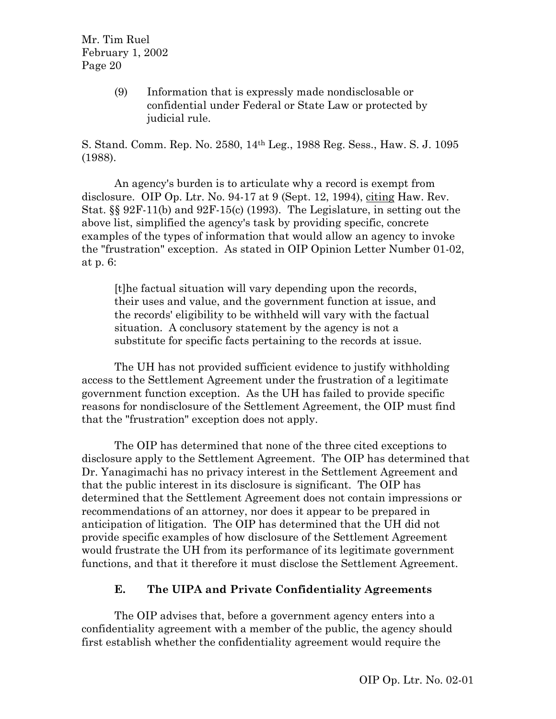> (9) Information that is expressly made nondisclosable or confidential under Federal or State Law or protected by judicial rule.

S. Stand. Comm. Rep. No. 2580, 14th Leg., 1988 Reg. Sess., Haw. S. J. 1095 (1988).

An agency's burden is to articulate why a record is exempt from disclosure. OIP Op. Ltr. No. 94-17 at 9 (Sept. 12, 1994), citing Haw. Rev. Stat. §§ 92F-11(b) and 92F-15(c) (1993). The Legislature, in setting out the above list, simplified the agency's task by providing specific, concrete examples of the types of information that would allow an agency to invoke the "frustration" exception. As stated in OIP Opinion Letter Number 01-02, at p. 6:

[t]he factual situation will vary depending upon the records, their uses and value, and the government function at issue, and the records' eligibility to be withheld will vary with the factual situation. A conclusory statement by the agency is not a substitute for specific facts pertaining to the records at issue.

The UH has not provided sufficient evidence to justify withholding access to the Settlement Agreement under the frustration of a legitimate government function exception. As the UH has failed to provide specific reasons for nondisclosure of the Settlement Agreement, the OIP must find that the "frustration" exception does not apply.

The OIP has determined that none of the three cited exceptions to disclosure apply to the Settlement Agreement. The OIP has determined that Dr. Yanagimachi has no privacy interest in the Settlement Agreement and that the public interest in its disclosure is significant. The OIP has determined that the Settlement Agreement does not contain impressions or recommendations of an attorney, nor does it appear to be prepared in anticipation of litigation. The OIP has determined that the UH did not provide specific examples of how disclosure of the Settlement Agreement would frustrate the UH from its performance of its legitimate government functions, and that it therefore it must disclose the Settlement Agreement.

## **E. The UIPA and Private Confidentiality Agreements**

The OIP advises that, before a government agency enters into a confidentiality agreement with a member of the public, the agency should first establish whether the confidentiality agreement would require the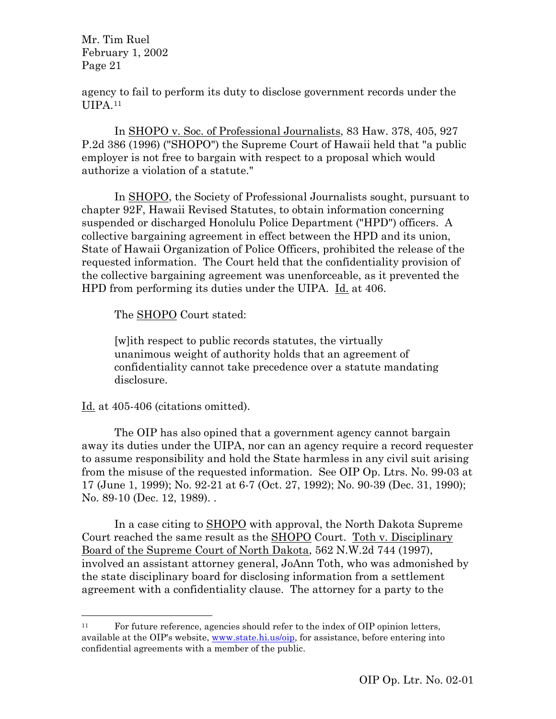agency to fail to perform its duty to disclose government records under the UIPA.[11](#page-20-0)

In SHOPO v. Soc. of Professional Journalists, 83 Haw. 378, 405, 927 P.2d 386 (1996) ("SHOPO") the Supreme Court of Hawaii held that "a public employer is not free to bargain with respect to a proposal which would authorize a violation of a statute."

In SHOPO, the Society of Professional Journalists sought, pursuant to chapter 92F, Hawaii Revised Statutes, to obtain information concerning suspended or discharged Honolulu Police Department ("HPD") officers. A collective bargaining agreement in effect between the HPD and its union, State of Hawaii Organization of Police Officers, prohibited the release of the requested information. The Court held that the confidentiality provision of the collective bargaining agreement was unenforceable, as it prevented the HPD from performing its duties under the UIPA. Id. at 406.

The SHOPO Court stated:

[w]ith respect to public records statutes, the virtually unanimous weight of authority holds that an agreement of confidentiality cannot take precedence over a statute mandating disclosure.

Id. at 405-406 (citations omitted).

The OIP has also opined that a government agency cannot bargain away its duties under the UIPA, nor can an agency require a record requester to assume responsibility and hold the State harmless in any civil suit arising from the misuse of the requested information. See OIP Op. Ltrs. No. 99-03 at 17 (June 1, 1999); No. 92-21 at 6-7 (Oct. 27, 1992); No. 90-39 (Dec. 31, 1990); No. 89-10 (Dec. 12, 1989). .

In a case citing to SHOPO with approval, the North Dakota Supreme Court reached the same result as the SHOPO Court. Toth v. Disciplinary Board of the Supreme Court of North Dakota, 562 N.W.2d 744 (1997), involved an assistant attorney general, JoAnn Toth, who was admonished by the state disciplinary board for disclosing information from a settlement agreement with a confidentiality clause. The attorney for a party to the

<span id="page-20-0"></span> <sup>11</sup> For future reference, agencies should refer to the index of OIP opinion letters, available at the OIP's website, [www.state.hi.us/oip,](http://www.state.hi.us/oip) for assistance, before entering into confidential agreements with a member of the public.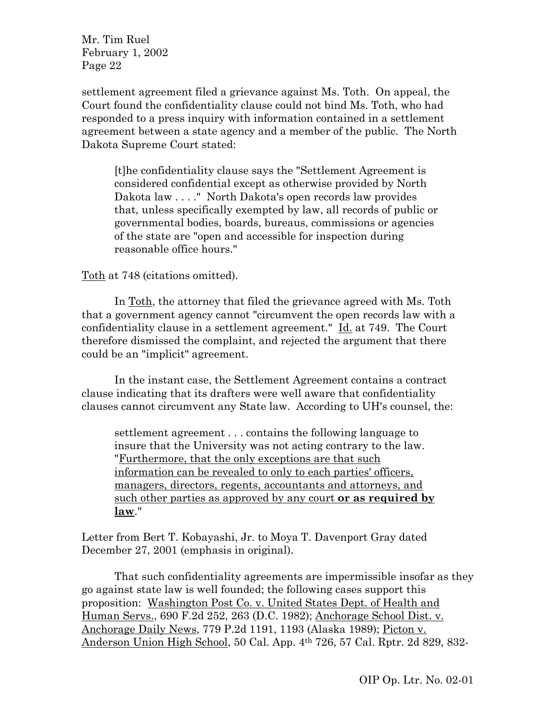settlement agreement filed a grievance against Ms. Toth. On appeal, the Court found the confidentiality clause could not bind Ms. Toth, who had responded to a press inquiry with information contained in a settlement agreement between a state agency and a member of the public. The North Dakota Supreme Court stated:

[t]he confidentiality clause says the "Settlement Agreement is considered confidential except as otherwise provided by North Dakota law . . . ." North Dakota's open records law provides that, unless specifically exempted by law, all records of public or governmental bodies, boards, bureaus, commissions or agencies of the state are "open and accessible for inspection during reasonable office hours."

#### Toth at 748 (citations omitted).

In Toth, the attorney that filed the grievance agreed with Ms. Toth that a government agency cannot "circumvent the open records law with a confidentiality clause in a settlement agreement." Id. at 749. The Court therefore dismissed the complaint, and rejected the argument that there could be an "implicit" agreement.

In the instant case, the Settlement Agreement contains a contract clause indicating that its drafters were well aware that confidentiality clauses cannot circumvent any State law. According to UH's counsel, the:

settlement agreement . . . contains the following language to insure that the University was not acting contrary to the law. "Furthermore, that the only exceptions are that such information can be revealed to only to each parties' officers, managers, directors, regents, accountants and attorneys, and such other parties as approved by any court **or as required by law**."

Letter from Bert T. Kobayashi, Jr. to Moya T. Davenport Gray dated December 27, 2001 (emphasis in original).

That such confidentiality agreements are impermissible insofar as they go against state law is well founded; the following cases support this proposition: Washington Post Co. v. United States Dept. of Health and Human Servs., 690 F.2d 252, 263 (D.C. 1982); Anchorage School Dist. v. Anchorage Daily News, 779 P.2d 1191, 1193 (Alaska 1989); Picton v. Anderson Union High School, 50 Cal. App. 4th 726, 57 Cal. Rptr. 2d 829, 832-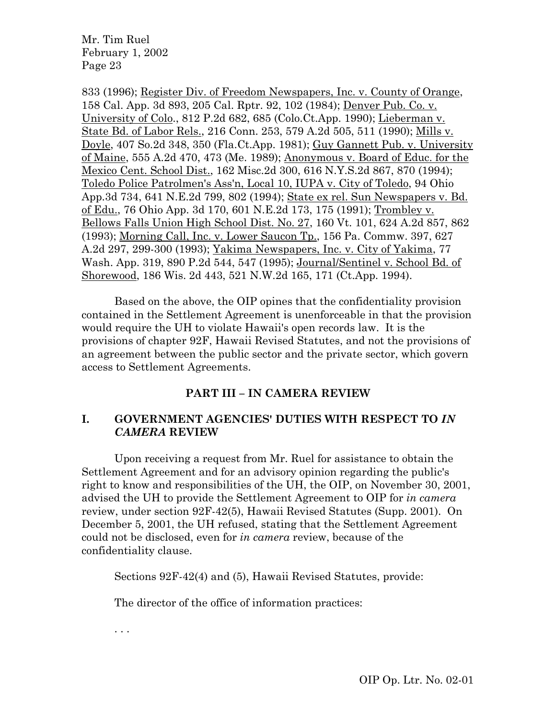833 (1996); Register Div. of Freedom Newspapers, Inc. v. County of Orange, 158 Cal. App. 3d 893, 205 Cal. Rptr. 92, 102 (1984); Denver Pub. Co. v. University of Colo., 812 P.2d 682, 685 (Colo.Ct.App. 1990); Lieberman v. State Bd. of Labor Rels., 216 Conn. 253, 579 A.2d 505, 511 (1990); Mills v. Doyle, 407 So.2d 348, 350 (Fla.Ct.App. 1981); Guy Gannett Pub. v. University of Maine, 555 A.2d 470, 473 (Me. 1989); Anonymous v. Board of Educ. for the Mexico Cent. School Dist., 162 Misc.2d 300, 616 N.Y.S.2d 867, 870 (1994); Toledo Police Patrolmen's Ass'n, Local 10, IUPA v. City of Toledo, 94 Ohio App.3d 734, 641 N.E.2d 799, 802 (1994); State ex rel. Sun Newspapers v. Bd. of Edu., 76 Ohio App. 3d 170, 601 N.E.2d 173, 175 (1991); Trombley v. Bellows Falls Union High School Dist. No. 27, 160 Vt. 101, 624 A.2d 857, 862 (1993); Morning Call, Inc. v. Lower Saucon Tp., 156 Pa. Commw. 397, 627 A.2d 297, 299-300 (1993); Yakima Newspapers, Inc. v. City of Yakima, 77 Wash. App. 319, 890 P.2d 544, 547 (1995); Journal/Sentinel v. School Bd. of Shorewood, 186 Wis. 2d 443, 521 N.W.2d 165, 171 (Ct.App. 1994).

Based on the above, the OIP opines that the confidentiality provision contained in the Settlement Agreement is unenforceable in that the provision would require the UH to violate Hawaii's open records law. It is the provisions of chapter 92F, Hawaii Revised Statutes, and not the provisions of an agreement between the public sector and the private sector, which govern access to Settlement Agreements.

### **PART III – IN CAMERA REVIEW**

### **I. GOVERNMENT AGENCIES' DUTIES WITH RESPECT TO** *IN CAMERA* **REVIEW**

Upon receiving a request from Mr. Ruel for assistance to obtain the Settlement Agreement and for an advisory opinion regarding the public's right to know and responsibilities of the UH, the OIP, on November 30, 2001, advised the UH to provide the Settlement Agreement to OIP for *in camera*  review, under section 92F-42(5), Hawaii Revised Statutes (Supp. 2001). On December 5, 2001, the UH refused, stating that the Settlement Agreement could not be disclosed, even for *in camera* review, because of the confidentiality clause.

Sections 92F-42(4) and (5), Hawaii Revised Statutes, provide:

The director of the office of information practices:

. . .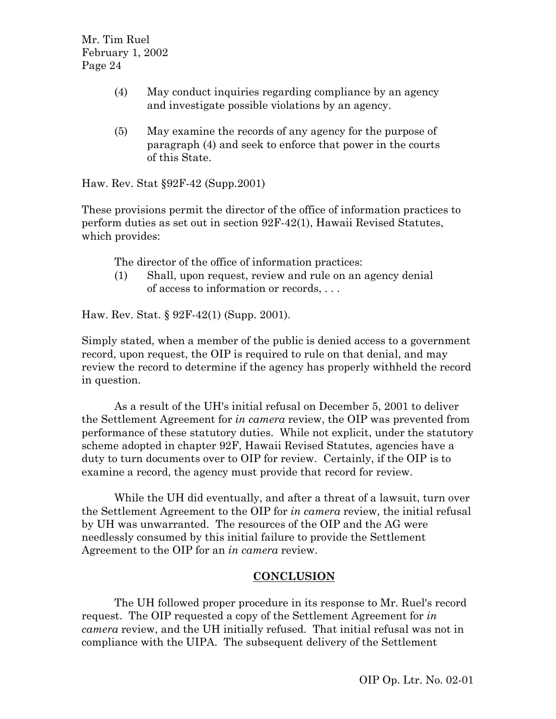- (4) May conduct inquiries regarding compliance by an agency and investigate possible violations by an agency.
- (5) May examine the records of any agency for the purpose of paragraph (4) and seek to enforce that power in the courts of this State.

Haw. Rev. Stat §92F-42 (Supp.2001)

These provisions permit the director of the office of information practices to perform duties as set out in section 92F-42(1), Hawaii Revised Statutes, which provides:

The director of the office of information practices:

(1) Shall, upon request, review and rule on an agency denial of access to information or records, . . .

Haw. Rev. Stat. § 92F-42(1) (Supp. 2001).

Simply stated, when a member of the public is denied access to a government record, upon request, the OIP is required to rule on that denial, and may review the record to determine if the agency has properly withheld the record in question.

As a result of the UH's initial refusal on December 5, 2001 to deliver the Settlement Agreement for *in camera* review, the OIP was prevented from performance of these statutory duties. While not explicit, under the statutory scheme adopted in chapter 92F, Hawaii Revised Statutes, agencies have a duty to turn documents over to OIP for review. Certainly, if the OIP is to examine a record, the agency must provide that record for review.

While the UH did eventually, and after a threat of a lawsuit, turn over the Settlement Agreement to the OIP for *in camera* review, the initial refusal by UH was unwarranted. The resources of the OIP and the AG were needlessly consumed by this initial failure to provide the Settlement Agreement to the OIP for an *in camera* review.

### **CONCLUSION**

The UH followed proper procedure in its response to Mr. Ruel's record request. The OIP requested a copy of the Settlement Agreement for *in camera* review, and the UH initially refused. That initial refusal was not in compliance with the UIPA. The subsequent delivery of the Settlement